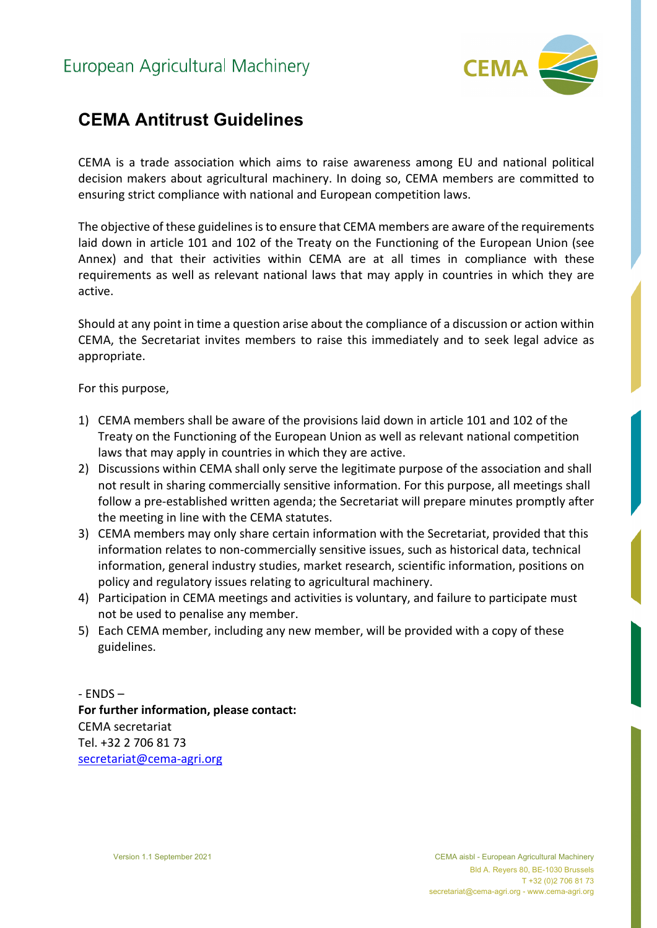

## **CEMA Antitrust Guidelines**

CEMA is a trade association which aims to raise awareness among EU and national political decision makers about agricultural machinery. In doing so, CEMA members are committed to ensuring strict compliance with national and European competition laws.

The objective of these guidelines is to ensure that CEMA members are aware of the requirements laid down in article 101 and 102 of the Treaty on the Functioning of the European Union (see Annex) and that their activities within CEMA are at all times in compliance with these requirements as well as relevant national laws that may apply in countries in which they are active.

Should at any point in time a question arise about the compliance of a discussion or action within CEMA, the Secretariat invites members to raise this immediately and to seek legal advice as appropriate.

For this purpose,

- 1) CEMA members shall be aware of the provisions laid down in article 101 and 102 of the Treaty on the Functioning of the European Union as well as relevant national competition laws that may apply in countries in which they are active.
- 2) Discussions within CEMA shall only serve the legitimate purpose of the association and shall not result in sharing commercially sensitive information. For this purpose, all meetings shall follow a pre-established written agenda; the Secretariat will prepare minutes promptly after the meeting in line with the CEMA statutes.
- 3) CEMA members may only share certain information with the Secretariat, provided that this information relates to non-commercially sensitive issues, such as historical data, technical information, general industry studies, market research, scientific information, positions on policy and regulatory issues relating to agricultural machinery.
- 4) Participation in CEMA meetings and activities is voluntary, and failure to participate must not be used to penalise any member.
- 5) Each CEMA member, including any new member, will be provided with a copy of these guidelines.

- ENDS – **For further information, please contact:** CEMA secretariat Tel. +32 2 706 81 73 [secretariat@cema-agri.org](mailto:secretariat@cema-agri.org)